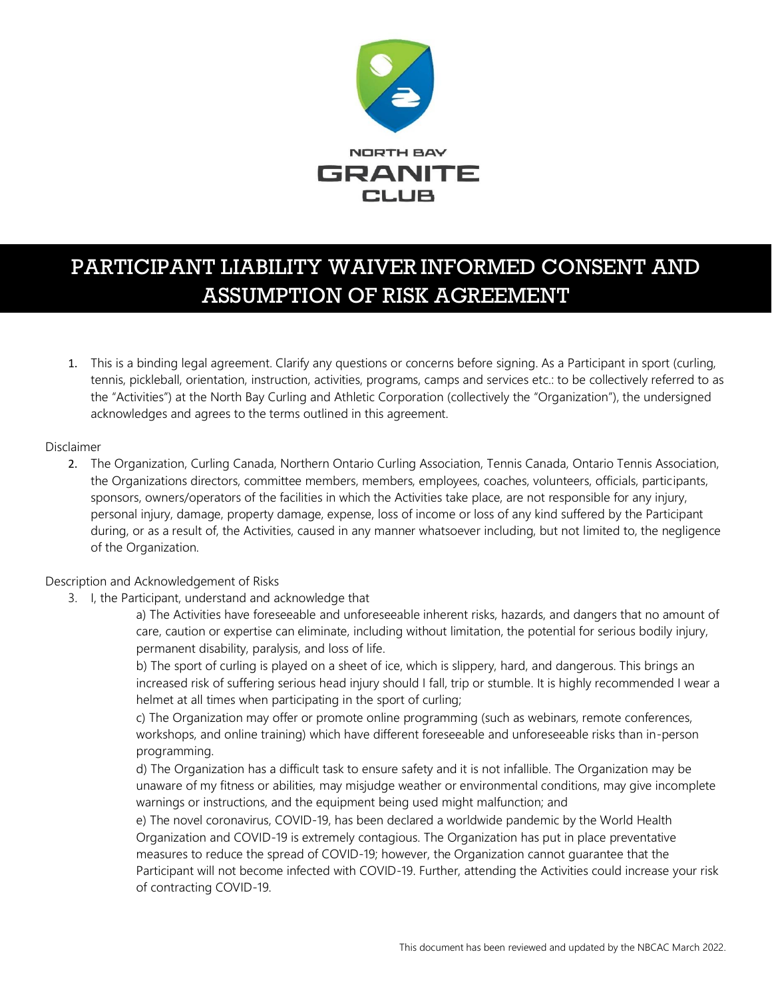

# PARTICIPANT LIABILITY WAIVER INFORMED CONSENT AND ASSUMPTION OF RISK AGREEMENT

1. This is a binding legal agreement. Clarify any questions or concerns before signing. As a Participant in sport (curling, tennis, pickleball, orientation, instruction, activities, programs, camps and services etc.: to be collectively referred to as the "Activities") at the North Bay Curling and Athletic Corporation (collectively the "Organization"), the undersigned acknowledges and agrees to the terms outlined in this agreement.

## Disclaimer

2. The Organization, Curling Canada, Northern Ontario Curling Association, Tennis Canada, Ontario Tennis Association, the Organizations directors, committee members, members, employees, coaches, volunteers, officials, participants, sponsors, owners/operators of the facilities in which the Activities take place, are not responsible for any injury, personal injury, damage, property damage, expense, loss of income or loss of any kind suffered by the Participant during, or as a result of, the Activities, caused in any manner whatsoever including, but not limited to, the negligence of the Organization.

## Description and Acknowledgement of Risks

3. I, the Participant, understand and acknowledge that

a) The Activities have foreseeable and unforeseeable inherent risks, hazards, and dangers that no amount of care, caution or expertise can eliminate, including without limitation, the potential for serious bodily injury, permanent disability, paralysis, and loss of life.

b) The sport of curling is played on a sheet of ice, which is slippery, hard, and dangerous. This brings an increased risk of suffering serious head injury should I fall, trip or stumble. It is highly recommended I wear a helmet at all times when participating in the sport of curling;

c) The Organization may offer or promote online programming (such as webinars, remote conferences, workshops, and online training) which have different foreseeable and unforeseeable risks than in-person programming.

d) The Organization has a difficult task to ensure safety and it is not infallible. The Organization may be unaware of my fitness or abilities, may misjudge weather or environmental conditions, may give incomplete warnings or instructions, and the equipment being used might malfunction; and

e) The novel coronavirus, COVID-19, has been declared a worldwide pandemic by the World Health Organization and COVID-19 is extremely contagious. The Organization has put in place preventative measures to reduce the spread of COVID-19; however, the Organization cannot guarantee that the Participant will not become infected with COVID-19. Further, attending the Activities could increase your risk of contracting COVID-19.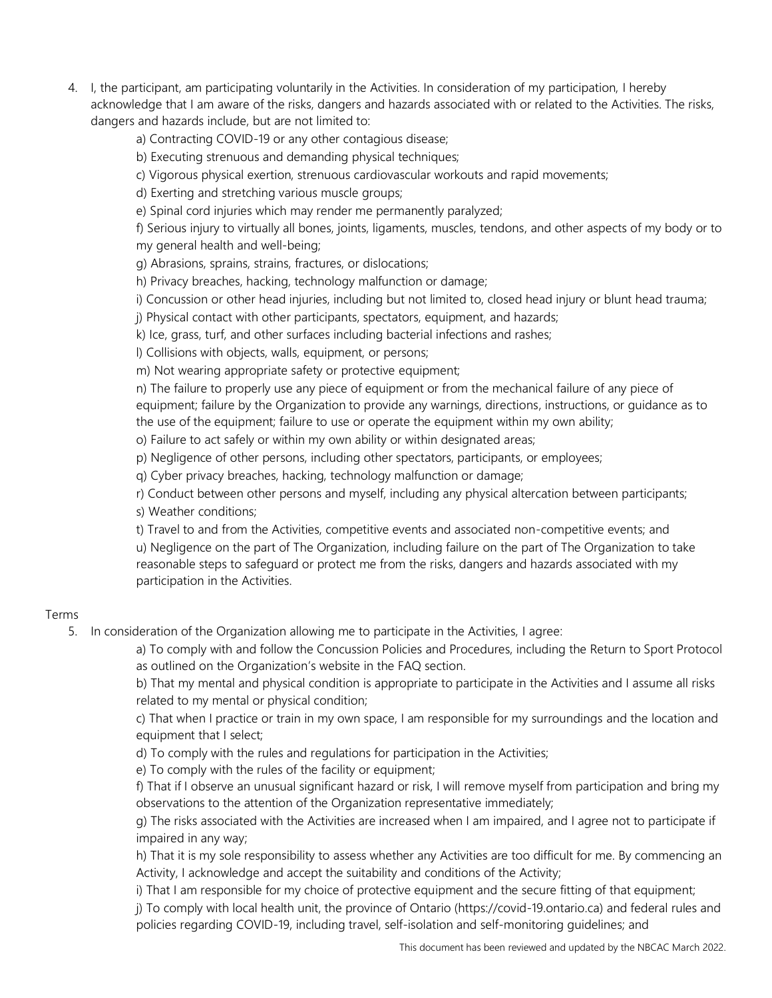4. I, the participant, am participating voluntarily in the Activities. In consideration of my participation, I hereby acknowledge that I am aware of the risks, dangers and hazards associated with or related to the Activities. The risks, dangers and hazards include, but are not limited to:

a) Contracting COVID-19 or any other contagious disease;

b) Executing strenuous and demanding physical techniques;

c) Vigorous physical exertion, strenuous cardiovascular workouts and rapid movements;

d) Exerting and stretching various muscle groups;

e) Spinal cord injuries which may render me permanently paralyzed;

f) Serious injury to virtually all bones, joints, ligaments, muscles, tendons, and other aspects of my body or to my general health and well-being;

g) Abrasions, sprains, strains, fractures, or dislocations;

h) Privacy breaches, hacking, technology malfunction or damage;

i) Concussion or other head injuries, including but not limited to, closed head injury or blunt head trauma;

j) Physical contact with other participants, spectators, equipment, and hazards;

k) Ice, grass, turf, and other surfaces including bacterial infections and rashes;

l) Collisions with objects, walls, equipment, or persons;

m) Not wearing appropriate safety or protective equipment;

n) The failure to properly use any piece of equipment or from the mechanical failure of any piece of equipment; failure by the Organization to provide any warnings, directions, instructions, or guidance as to the use of the equipment; failure to use or operate the equipment within my own ability;

o) Failure to act safely or within my own ability or within designated areas;

p) Negligence of other persons, including other spectators, participants, or employees;

q) Cyber privacy breaches, hacking, technology malfunction or damage;

r) Conduct between other persons and myself, including any physical altercation between participants; s) Weather conditions;

t) Travel to and from the Activities, competitive events and associated non-competitive events; and u) Negligence on the part of The Organization, including failure on the part of The Organization to take reasonable steps to safeguard or protect me from the risks, dangers and hazards associated with my participation in the Activities.

## Terms

5. In consideration of the Organization allowing me to participate in the Activities, I agree:

a) To comply with and follow the Concussion Policies and Procedures, including the Return to Sport Protocol as outlined on the Organization's website in the FAQ section.

b) That my mental and physical condition is appropriate to participate in the Activities and I assume all risks related to my mental or physical condition;

c) That when I practice or train in my own space, I am responsible for my surroundings and the location and equipment that I select;

d) To comply with the rules and regulations for participation in the Activities;

e) To comply with the rules of the facility or equipment;

f) That if I observe an unusual significant hazard or risk, I will remove myself from participation and bring my observations to the attention of the Organization representative immediately;

g) The risks associated with the Activities are increased when I am impaired, and I agree not to participate if impaired in any way;

h) That it is my sole responsibility to assess whether any Activities are too difficult for me. By commencing an Activity, I acknowledge and accept the suitability and conditions of the Activity;

i) That I am responsible for my choice of protective equipment and the secure fitting of that equipment;

j) To comply with local health unit, the province of Ontario [\(https://covid-19.ontario.ca\)](https://covid-19.ontario.ca/) and federal rules and policies regarding COVID-19, including travel, self-isolation and self-monitoring guidelines; and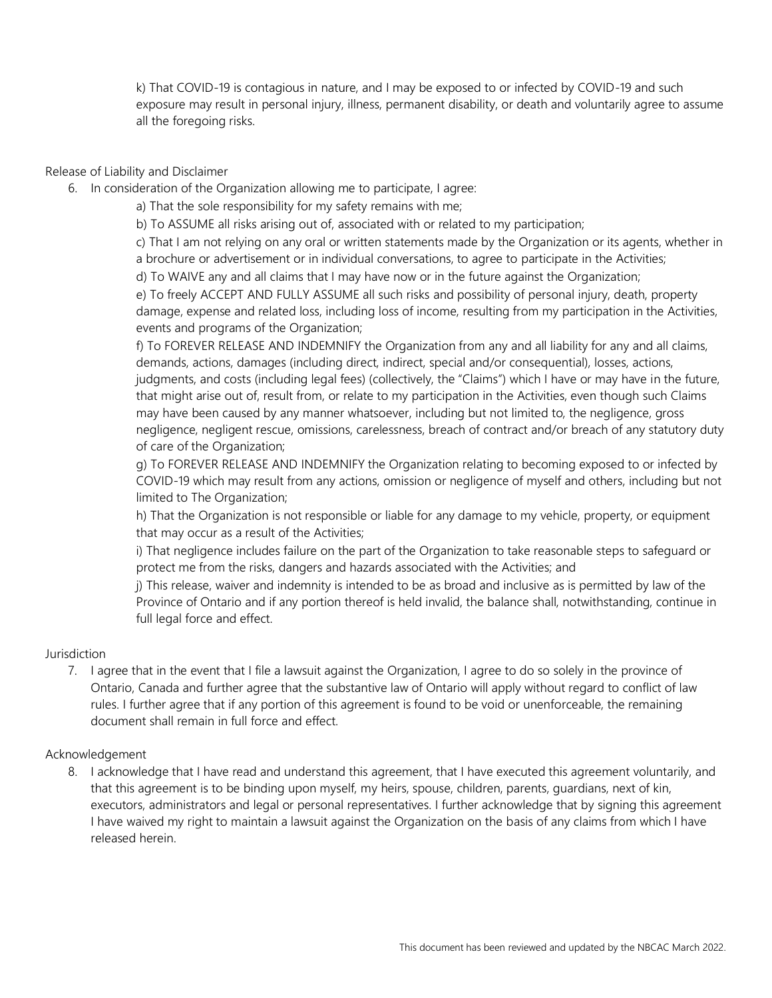k) That COVID-19 is contagious in nature, and I may be exposed to or infected by COVID-19 and such exposure may result in personal injury, illness, permanent disability, or death and voluntarily agree to assume all the foregoing risks.

## Release of Liability and Disclaimer

- 6. In consideration of the Organization allowing me to participate, I agree:
	- a) That the sole responsibility for my safety remains with me;
	- b) To ASSUME all risks arising out of, associated with or related to my participation;

c) That I am not relying on any oral or written statements made by the Organization or its agents, whether in a brochure or advertisement or in individual conversations, to agree to participate in the Activities;

d) To WAIVE any and all claims that I may have now or in the future against the Organization;

e) To freely ACCEPT AND FULLY ASSUME all such risks and possibility of personal injury, death, property damage, expense and related loss, including loss of income, resulting from my participation in the Activities, events and programs of the Organization;

f) To FOREVER RELEASE AND INDEMNIFY the Organization from any and all liability for any and all claims, demands, actions, damages (including direct, indirect, special and/or consequential), losses, actions, judgments, and costs (including legal fees) (collectively, the "Claims") which I have or may have in the future, that might arise out of, result from, or relate to my participation in the Activities, even though such Claims may have been caused by any manner whatsoever, including but not limited to, the negligence, gross negligence, negligent rescue, omissions, carelessness, breach of contract and/or breach of any statutory duty of care of the Organization;

g) To FOREVER RELEASE AND INDEMNIFY the Organization relating to becoming exposed to or infected by COVID-19 which may result from any actions, omission or negligence of myself and others, including but not limited to The Organization;

h) That the Organization is not responsible or liable for any damage to my vehicle, property, or equipment that may occur as a result of the Activities;

i) That negligence includes failure on the part of the Organization to take reasonable steps to safeguard or protect me from the risks, dangers and hazards associated with the Activities; and

j) This release, waiver and indemnity is intended to be as broad and inclusive as is permitted by law of the Province of Ontario and if any portion thereof is held invalid, the balance shall, notwithstanding, continue in full legal force and effect.

## Jurisdiction

7. I agree that in the event that I file a lawsuit against the Organization, I agree to do so solely in the province of Ontario, Canada and further agree that the substantive law of Ontario will apply without regard to conflict of law rules. I further agree that if any portion of this agreement is found to be void or unenforceable, the remaining document shall remain in full force and effect.

#### Acknowledgement

8. I acknowledge that I have read and understand this agreement, that I have executed this agreement voluntarily, and that this agreement is to be binding upon myself, my heirs, spouse, children, parents, guardians, next of kin, executors, administrators and legal or personal representatives. I further acknowledge that by signing this agreement I have waived my right to maintain a lawsuit against the Organization on the basis of any claims from which I have released herein.